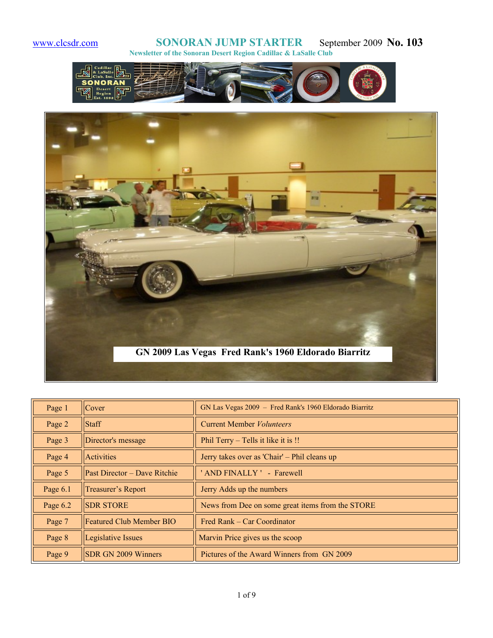



| Page 1   | Cover                           | GN Las Vegas 2009 - Fred Rank's 1960 Eldorado Biarritz |
|----------|---------------------------------|--------------------------------------------------------|
| Page 2   | <b>Staff</b>                    | <b>Current Member Volunteers</b>                       |
| Page 3   | Director's message              | Phil Terry – Tells it like it is !!                    |
| Page 4   | Activities                      | Jerry takes over as 'Chair' – Phil cleans up           |
| Page 5   | Past Director - Dave Ritchie    | ' AND FINALLY ' - Farewell                             |
| Page 6.1 | Treasurer's Report              | Jerry Adds up the numbers                              |
| Page 6.2 | <b>SDR STORE</b>                | News from Dee on some great items from the STORE       |
| Page 7   | <b>Featured Club Member BIO</b> | Fred Rank – Car Coordinator                            |
| Page 8   | Legislative Issues              | Marvin Price gives us the scoop                        |
| Page 9   | <b>SDR GN 2009 Winners</b>      | Pictures of the Award Winners from GN 2009             |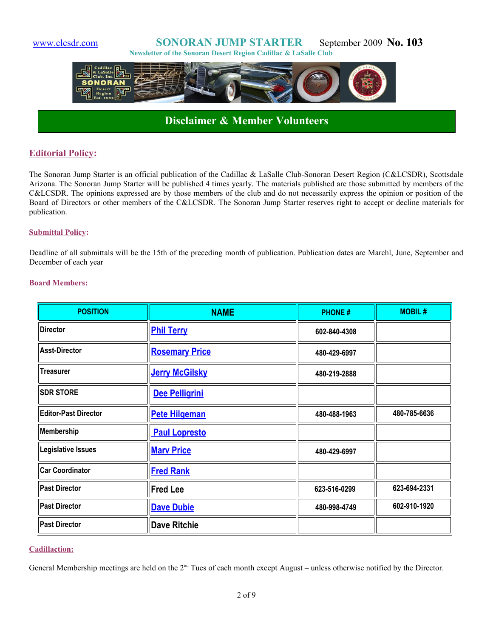

## **Disclaimer & Member Volunteers**

### **Editorial Policy:**

The Sonoran Jump Starter is an official publication of the Cadillac & LaSalle Club-Sonoran Desert Region (C&LCSDR), Scottsdale Arizona. The Sonoran Jump Starter will be published 4 times yearly. The materials published are those submitted by members of the C&LCSDR. The opinions expressed are by those members of the club and do not necessarily express the opinion or position of the Board of Directors or other members of the C&LCSDR. The Sonoran Jump Starter reserves right to accept or decline materials for publication.

#### **Submittal Policy:**

Deadline of all submittals will be the 15th of the preceding month of publication. Publication dates are Marchl, June, September and December of each year

#### **Board Members:**

| <b>POSITION</b>             | <b>NAME</b>           | <b>PHONE#</b> | <b>MOBIL#</b> |
|-----------------------------|-----------------------|---------------|---------------|
| <b>Director</b>             | <b>Phil Terry</b>     | 602-840-4308  |               |
| <b>Asst-Director</b>        | <b>Rosemary Price</b> | 480-429-6997  |               |
| <b>Treasurer</b>            | <b>Jerry McGilsky</b> | 480-219-2888  |               |
| <b>SDR STORE</b>            | Dee Pelligrini        |               |               |
| <b>Editor-Past Director</b> | <b>Pete Hilgeman</b>  | 480-488-1963  | 480-785-6636  |
| <b>Membership</b>           | <b>Paul Lopresto</b>  |               |               |
| Legislative Issues          | <b>Mary Price</b>     | 480-429-6997  |               |
| <b>Car Coordinator</b>      | <b>Fred Rank</b>      |               |               |
| <b>Past Director</b>        | <b>Fred Lee</b>       | 623-516-0299  | 623-694-2331  |
| <b>Past Director</b>        | <b>Dave Dubie</b>     | 480-998-4749  | 602-910-1920  |
| <b>Past Director</b>        | <b>Dave Ritchie</b>   |               |               |

#### **Cadillaction:**

General Membership meetings are held on the  $2<sup>nd</sup>$  Tues of each month except August – unless otherwise notified by the Director.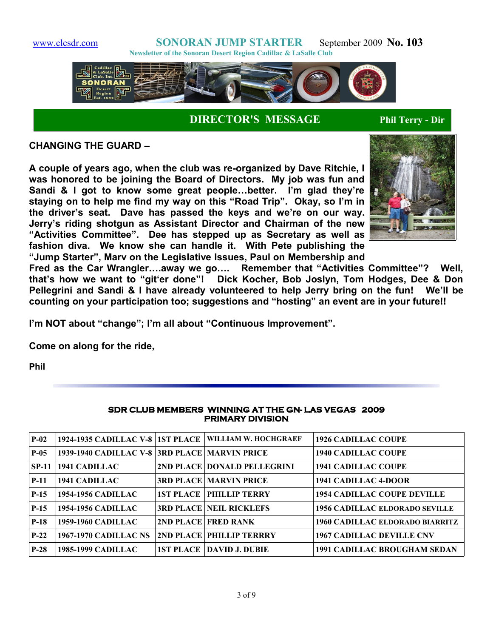



**DIRECTOR'S MESSAGE Phil Terry - Dir**

**CHANGING THE GUARD –**

**A couple of years ago, when the club was re-organized by Dave Ritchie, I was honored to be joining the Board of Directors. My job was fun and Sandi & I got to know some great people…better. I'm glad they're staying on to help me find my way on this "Road Trip". Okay, so I'm in the driver's seat. Dave has passed the keys and we're on our way. Jerry's riding shotgun as Assistant Director and Chairman of the new "Activities Committee". Dee has stepped up as Secretary as well as fashion diva. We know she can handle it. With Pete publishing the "Jump Starter", Marv on the Legislative Issues, Paul on Membership and**



**Fred as the Car Wrangler….away we go…. Remember that "Activities Committee"? Well, that's how we want to "git'er done"! Dick Kocher, Bob Joslyn, Tom Hodges, Dee & Don Pellegrini and Sandi & I have already volunteered to help Jerry bring on the fun! We'll be counting on your participation too; suggestions and "hosting" an event are in your future!!**

**I'm NOT about "change"; I'm all about "Continuous Improvement".** 

**Come on along for the ride,**

**Phil** 

| <b>PRIMARY DIVISION</b> |                                               |  |                                                           |                                        |  |  |  |
|-------------------------|-----------------------------------------------|--|-----------------------------------------------------------|----------------------------------------|--|--|--|
| $P-02$                  |                                               |  | 1924-1935 CADILLAC V-8   1ST PLACE   WILLIAM W. HOCHGRAEF | <b>1926 CADILLAC COUPE</b>             |  |  |  |
| $P-0.5$                 | 1939-1940 CADILLAC V-8 3RD PLACE MARVIN PRICE |  |                                                           | <b>1940 CADILLAC COUPE</b>             |  |  |  |
| SP-11                   | 1941 CADILLAC                                 |  | 2ND PLACE DONALD PELLEGRINI                               | <b>1941 CADILLAC COUPE</b>             |  |  |  |
| $P-11$                  | 1941 CADILLAC                                 |  | <b>3RD PLACE MARVIN PRICE</b>                             | 1941 CADILLAC 4-DOOR                   |  |  |  |
| $P-15$                  | <b>1954-1956 CADILLAC</b>                     |  | <b>1ST PLACE   PHILLIP TERRY</b>                          | <b>1954 CADILLAC COUPE DEVILLE</b>     |  |  |  |
| $P-15$                  | <b>1954-1956 CADILLAC</b>                     |  | <b>3RD PLACE NEIL RICKLEFS</b>                            | <b>1956 CADILLAC ELDORADO SEVILLE</b>  |  |  |  |
| $P-18$                  | <b>1959-1960 CADILLAC</b>                     |  | 2ND PLACE FRED RANK                                       | <b>1960 CADILLAC ELDORADO BIARRITZ</b> |  |  |  |
| $P-22$                  | <b>1967-1970 CADILLAC NS</b>                  |  | <b>2ND PLACE PHILLIP TERRRY</b>                           | <b>1967 CADILLAC DEVILLE CNV</b>       |  |  |  |
| $P-28$                  | <b>1985-1999 CADILLAC</b>                     |  | <b>1ST PLACE   DAVID J. DUBIE</b>                         | <b>1991 CADILLAC BROUGHAM SEDAN</b>    |  |  |  |

#### **SDR CLUB MEMBERS WINNING AT THE GN- LAS VEGAS 2009 PRIMARY DIVISION**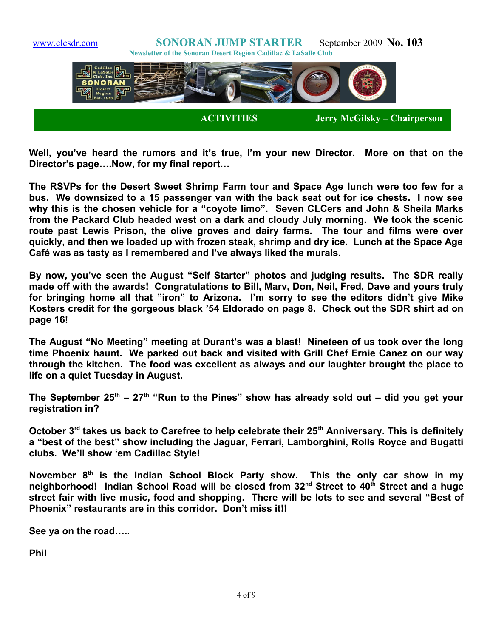

**Well, you've heard the rumors and it's true, I'm your new Director. More on that on the Director's page….Now, for my final report…**

**The RSVPs for the Desert Sweet Shrimp Farm tour and Space Age lunch were too few for a bus. We downsized to a 15 passenger van with the back seat out for ice chests. I now see why this is the chosen vehicle for a "coyote limo". Seven CLCers and John & Sheila Marks from the Packard Club headed west on a dark and cloudy July morning. We took the scenic route past Lewis Prison, the olive groves and dairy farms. The tour and films were over quickly, and then we loaded up with frozen steak, shrimp and dry ice. Lunch at the Space Age Café was as tasty as I remembered and I've always liked the murals.**

**By now, you've seen the August "Self Starter" photos and judging results. The SDR really made off with the awards! Congratulations to Bill, Marv, Don, Neil, Fred, Dave and yours truly for bringing home all that "iron" to Arizona. I'm sorry to see the editors didn't give Mike Kosters credit for the gorgeous black '54 Eldorado on page 8. Check out the SDR shirt ad on page 16!**

**The August "No Meeting" meeting at Durant's was a blast! Nineteen of us took over the long time Phoenix haunt. We parked out back and visited with Grill Chef Ernie Canez on our way through the kitchen. The food was excellent as always and our laughter brought the place to life on a quiet Tuesday in August.**

**The September 25th – 27th "Run to the Pines" show has already sold out – did you get your registration in?**

**October 3rd takes us back to Carefree to help celebrate their 25th Anniversary. This is definitely a "best of the best" show including the Jaguar, Ferrari, Lamborghini, Rolls Royce and Bugatti clubs. We'll show 'em Cadillac Style!**

**November 8th is the Indian School Block Party show. This the only car show in my neighborhood! Indian School Road will be closed from 32nd Street to 40th Street and a huge street fair with live music, food and shopping. There will be lots to see and several "Best of Phoenix" restaurants are in this corridor. Don't miss it!!** 

**See ya on the road…..**

**Phil**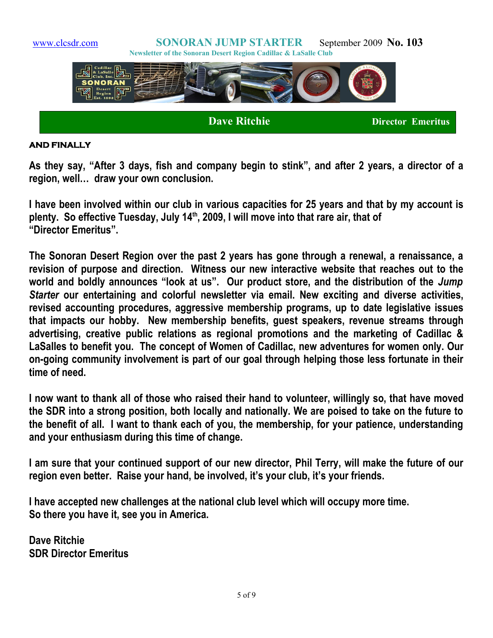

#### **AND FINALLY**

**As they say, "After 3 days, fish and company begin to stink", and after 2 years, a director of a region, well… draw your own conclusion.**

**I have been involved within our club in various capacities for 25 years and that by my account is plenty. So effective Tuesday, July 14th, 2009, I will move into that rare air, that of "Director Emeritus".**

**The Sonoran Desert Region over the past 2 years has gone through a renewal, a renaissance, a revision of purpose and direction. Witness our new interactive website that reaches out to the world and boldly announces "look at us". Our product store, and the distribution of the** *Jump Starter* **our entertaining and colorful newsletter via email. New exciting and diverse activities, revised accounting procedures, aggressive membership programs, up to date legislative issues that impacts our hobby. New membership benefits, guest speakers, revenue streams through advertising, creative public relations as regional promotions and the marketing of Cadillac & LaSalles to benefit you. The concept of Women of Cadillac, new adventures for women only. Our on-going community involvement is part of our goal through helping those less fortunate in their time of need.**

**I now want to thank all of those who raised their hand to volunteer, willingly so, that have moved the SDR into a strong position, both locally and nationally. We are poised to take on the future to the benefit of all. I want to thank each of you, the membership, for your patience, understanding and your enthusiasm during this time of change.**

**I am sure that your continued support of our new director, Phil Terry, will make the future of our region even better. Raise your hand, be involved, it's your club, it's your friends.**

**I have accepted new challenges at the national club level which will occupy more time. So there you have it, see you in America.**

**Dave Ritchie SDR Director Emeritus**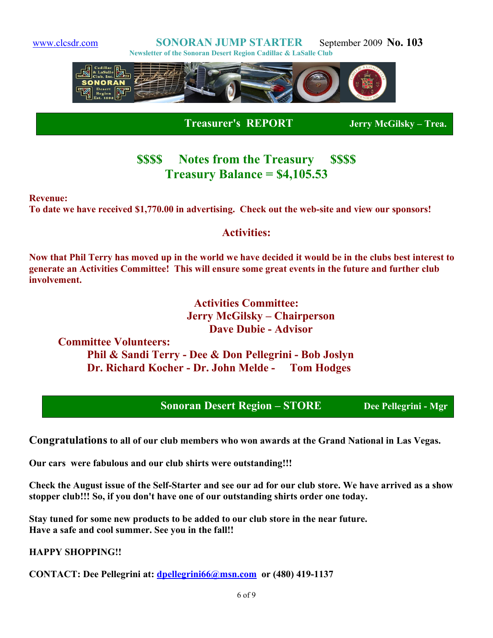

 **Treasurer's REPORT Jerry McGilsky – Trea.**

# **\$\$\$\$ Notes from the Treasury \$\$\$\$ Treasury Balance = \$4,105.53**

**Revenue:**

**To date we have received \$1,770.00 in advertising. Check out the web-site and view our sponsors!**

### **Activities:**

**Now that Phil Terry has moved up in the world we have decided it would be in the clubs best interest to generate an Activities Committee! This will ensure some great events in the future and further club involvement.** 

> **Activities Committee: Jerry McGilsky – Chairperson Dave Dubie - Advisor**

**Committee Volunteers: Phil & Sandi Terry - Dee & Don Pellegrini - Bob Joslyn Dr. Richard Kocher - Dr. John Melde - Tom Hodges**

**Sonoran Desert Region – STORE Dee Pellegrini - Mgr**

**Congratulations to all of our club members who won awards at the Grand National in Las Vegas.** 

**Our cars were fabulous and our club shirts were outstanding!!!**

**Check the August issue of the Self-Starter and see our ad for our club store. We have arrived as a show stopper club!!! So, if you don't have one of our outstanding shirts order one today.**

**Stay tuned for some new products to be added to our club store in the near future. Have a safe and cool summer. See you in the fall!!**

**HAPPY SHOPPING!!**

**CONTACT: Dee Pellegrini at: [dpellegrini66@msn.com](mailto:dpellegrini66@msn.com) or (480) 419-1137**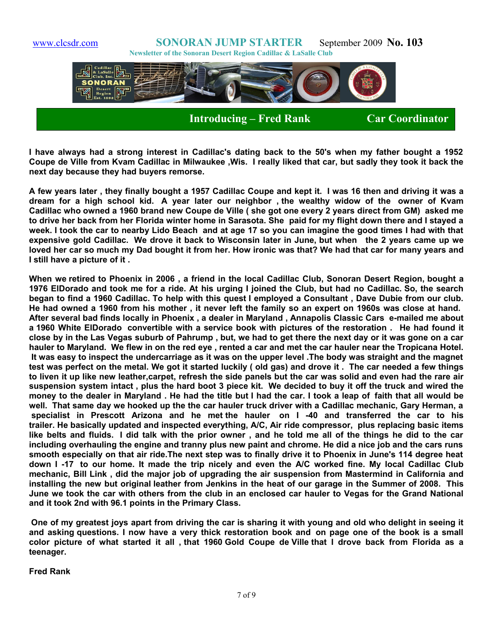[www.clcsdr.com](http://www.clcsdr.com/) **SONORAN JUMP STARTER** September 2009 **No. 103 Newsletter of the Sonoran Desert Region Cadillac & LaSalle Club Introducing – Fred Rank Car Coordinator** 

**I have always had a strong interest in Cadillac's dating back to the 50's when my father bought a 1952 Coupe de Ville from Kvam Cadillac in Milwaukee ,Wis. I really liked that car, but sadly they took it back the next day because they had buyers remorse.**

**A few years later , they finally bought a 1957 Cadillac Coupe and kept it. I was 16 then and driving it was a dream for a high school kid. A year later our neighbor , the wealthy widow of the owner of Kvam Cadillac who owned a 1960 brand new Coupe de Ville ( she got one every 2 years direct from GM) asked me to drive her back from her Florida winter home in Sarasota. She paid for my flight down there and I stayed a week. I took the car to nearby Lido Beach and at age 17 so you can imagine the good times I had with that expensive gold Cadillac. We drove it back to Wisconsin later in June, but when the 2 years came up we loved her car so much my Dad bought it from her. How ironic was that? We had that car for many years and I still have a picture of it .**

**When we retired to Phoenix in 2006 , a friend in the local Cadillac Club, Sonoran Desert Region, bought a 1976 ElDorado and took me for a ride. At his urging I joined the Club, but had no Cadillac. So, the search began to find a 1960 Cadillac. To help with this quest I employed a Consultant , Dave Dubie from our club. He had owned a 1960 from his mother , it never left the family so an expert on 1960s was close at hand. After several bad finds locally in Phoenix , a dealer in Maryland , Annapolis Classic Cars e-mailed me about a 1960 White ElDorado convertible with a service book with pictures of the restoration . He had found it close by in the Las Vegas suburb of Pahrump , but, we had to get there the next day or it was gone on a car hauler to Maryland. We flew in on the red eye , rented a car and met the car hauler near the Tropicana Hotel. It was easy to inspect the undercarriage as it was on the upper level .The body was straight and the magnet test was perfect on the metal. We got it started luckily ( old gas) and drove it . The car needed a few things to liven it up like new leather,carpet, refresh the side panels but the car was solid and even had the rare air suspension system intact , plus the hard boot 3 piece kit. We decided to buy it off the truck and wired the money to the dealer in Maryland . He had the title but I had the car. I took a leap of faith that all would be well. That same day we hooked up the the car hauler truck driver with a Cadillac mechanic, Gary Herman, a specialist in Prescott Arizona and he met the hauler on I -40 and transferred the car to his trailer. He basically updated and inspected everything, A/C, Air ride compressor, plus replacing basic items like belts and fluids. I did talk with the prior owner , and he told me all of the things he did to the car including overhauling the engine and tranny plus new paint and chrome. He did a nice job and the cars runs smooth especially on that air ride.The next step was to finally drive it to Phoenix in June's 114 degree heat down I -17 to our home. It made the trip nicely and even the A/C worked fine. My local Cadillac Club mechanic, Bill Link , did the major job of upgrading the air suspension from Mastermind in California and installing the new but original leather from Jenkins in the heat of our garage in the Summer of 2008. This June we took the car with others from the club in an enclosed car hauler to Vegas for the Grand National and it took 2nd with 96.1 points in the Primary Class.**

**One of my greatest joys apart from driving the car is sharing it with young and old who delight in seeing it and asking questions. I now have a very thick restoration book and on page one of the book is a small color picture of what started it all , that 1960 Gold Coupe de Ville that I drove back from Florida as a teenager.**

**Fred Rank**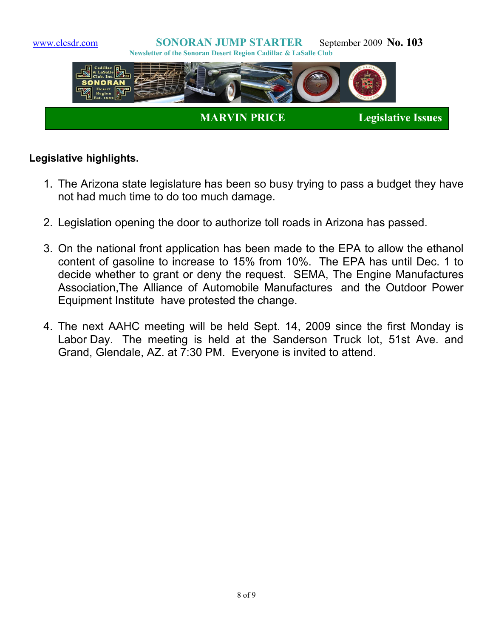

### **Legislative highlights.**

- 1. The Arizona state legislature has been so busy trying to pass a budget they have not had much time to do too much damage.
- 2. Legislation opening the door to authorize toll roads in Arizona has passed.
- 3. On the national front application has been made to the EPA to allow the ethanol content of gasoline to increase to 15% from 10%. The EPA has until Dec. 1 to decide whether to grant or deny the request. SEMA, The Engine Manufactures Association,The Alliance of Automobile Manufactures and the Outdoor Power Equipment Institute have protested the change.
- 4. The next AAHC meeting will be held Sept. 14, 2009 since the first Monday is Labor Day. The meeting is held at the Sanderson Truck lot, 51st Ave. and Grand, Glendale, AZ. at 7:30 PM. Everyone is invited to attend.